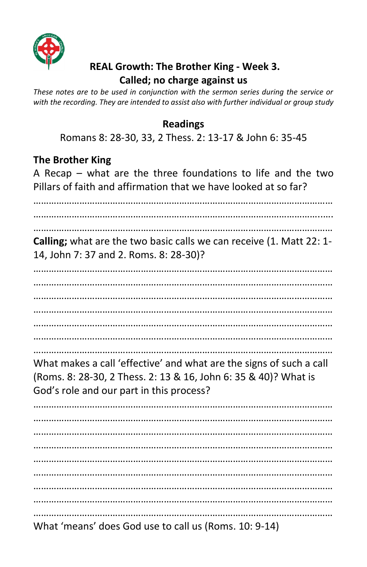

### **REAL Growth: The Brother King - Week 3. Called; no charge against us**

*These notes are to be used in conjunction with the sermon series during the service or with the recording. They are intended to assist also with further individual or group study* 

#### **Readings**

Romans 8: 28-30, 33, 2 Thess. 2: 13-17 & John 6: 35-45

### **The Brother King**

A Recap – what are the three foundations to life and the two Pillars of faith and affirmation that we have looked at so far?

……………………………………………………………………………………………………… …………………………………………………………………………………………………..…. **Calling;** what are the two basic calls we can receive (1. Matt 22: 1- 14, John 7: 37 and 2. Roms. 8: 28-30)? ……………………………………………………………………………………………………… ……………………………………………………………………………………………………… ……………………………………………………………………………………………………… ……………………………………………………………………………………………………… ……………………………………………………………………………………………………… What makes a call 'effective' and what are the signs of such a call (Roms. 8: 28-30, 2 Thess. 2: 13 & 16, John 6: 35 & 40)? What is God's role and our part in this process? ……………………………………………………………………………………………………… ……………………………………………………………………………………………………… ……………………………………………………………………………………………………… ……………………………………………………………………………………………………… ……………………………………………………………………………………………………… ……………………………………………………………………………………………………… ………………………………………………………………………………………………………

What 'means' does God use to call us (Roms. 10: 9-14)